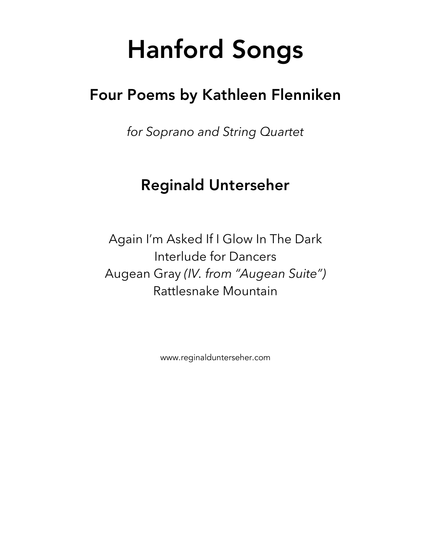# Hanford Songs

## Four Poems by Kathleen Flenniken

*for Soprano and String Quartet*

## Reginald Unterseher

Again I'm Asked If I Glow In The Dark Interlude for Dancers Augean Gray *(IV. from "Augean Suite")* Rattlesnake Mountain

www.reginaldunterseher.com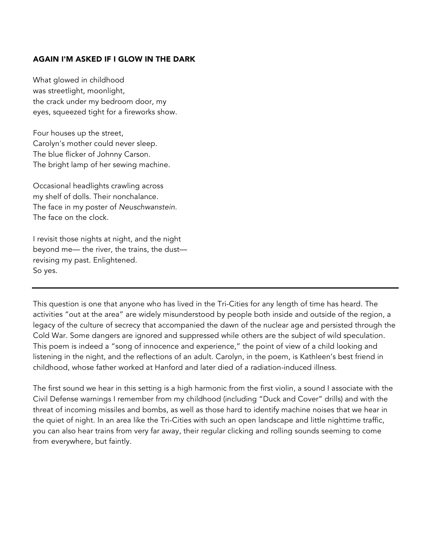#### AGAIN I'M ASKED IF I GLOW IN THE DARK

What glowed in childhood was streetlight, moonlight, the crack under my bedroom door, my eyes, squeezed tight for a fireworks show.

Four houses up the street, Carolyn's mother could never sleep. The blue flicker of Johnny Carson. The bright lamp of her sewing machine.

Occasional headlights crawling across my shelf of dolls. Their nonchalance. The face in my poster of *Neuschwanstein.* The face on the clock.

I revisit those nights at night, and the night beyond me— the river, the trains, the dust revising my past. Enlightened. So yes.

This question is one that anyone who has lived in the Tri-Cities for any length of time has heard. The activities "out at the area" are widely misunderstood by people both inside and outside of the region, a legacy of the culture of secrecy that accompanied the dawn of the nuclear age and persisted through the Cold War. Some dangers are ignored and suppressed while others are the subject of wild speculation. This poem is indeed a "song of innocence and experience," the point of view of a child looking and listening in the night, and the reflections of an adult. Carolyn, in the poem, is Kathleen's best friend in childhood, whose father worked at Hanford and later died of a radiation-induced illness.

The first sound we hear in this setting is a high harmonic from the first violin, a sound I associate with the Civil Defense warnings I remember from my childhood (including "Duck and Cover" drills) and with the threat of incoming missiles and bombs, as well as those hard to identify machine noises that we hear in the quiet of night. In an area like the Tri-Cities with such an open landscape and little nighttime traffic, you can also hear trains from very far away, their regular clicking and rolling sounds seeming to come from everywhere, but faintly.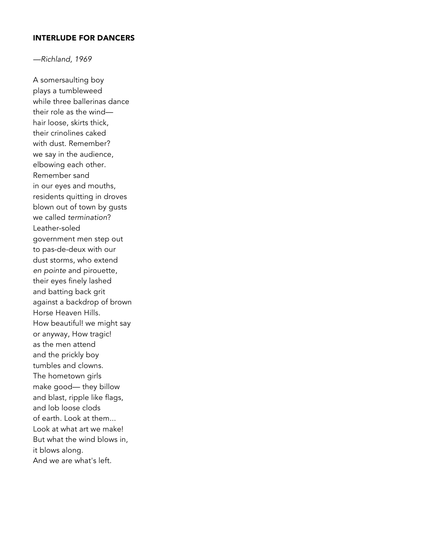#### INTERLUDE FOR DANCERS

*—Richland, 1969*

A somersaulting boy plays a tumbleweed while three ballerinas dance their role as the wind hair loose, skirts thick, their crinolines caked with dust. Remember? we say in the audience, elbowing each other. Remember sand in our eyes and mouths, residents quitting in droves blown out of town by gusts we called *termination*? Leather-soled government men step out to pas-de-deux with our dust storms, who extend *en pointe* and pirouette, their eyes finely lashed and batting back grit against a backdrop of brown Horse Heaven Hills. How beautiful! we might say or anyway, How tragic! as the men attend and the prickly boy tumbles and clowns. The hometown girls make good— they billow and blast, ripple like flags, and lob loose clods of earth. Look at them... Look at what art we make! But what the wind blows in, it blows along. And we are what's left.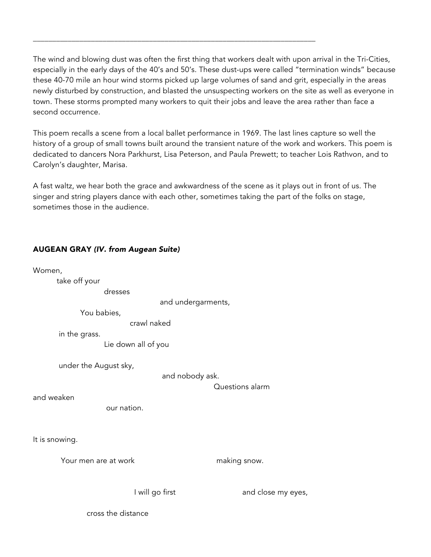The wind and blowing dust was often the first thing that workers dealt with upon arrival in the Tri-Cities, especially in the early days of the 40's and 50's. These dust-ups were called "termination winds" because these 40-70 mile an hour wind storms picked up large volumes of sand and grit, especially in the areas newly disturbed by construction, and blasted the unsuspecting workers on the site as well as everyone in town. These storms prompted many workers to quit their jobs and leave the area rather than face a second occurrence.

\_\_\_\_\_\_\_\_\_\_\_\_\_\_\_\_\_\_\_\_\_\_\_\_\_\_\_\_\_\_\_\_\_\_\_\_\_\_\_\_\_\_\_\_\_\_\_\_\_\_\_\_\_\_\_\_\_\_\_\_\_\_\_\_\_\_\_\_\_\_\_\_\_

This poem recalls a scene from a local ballet performance in 1969. The last lines capture so well the history of a group of small towns built around the transient nature of the work and workers. This poem is dedicated to dancers Nora Parkhurst, Lisa Peterson, and Paula Prewett; to teacher Lois Rathvon, and to Carolyn's daughter, Marisa.

A fast waltz, we hear both the grace and awkwardness of the scene as it plays out in front of us. The singer and string players dance with each other, sometimes taking the part of the folks on stage, sometimes those in the audience.

| Women,                               |                                    |
|--------------------------------------|------------------------------------|
| take off your                        |                                    |
| dresses                              |                                    |
|                                      | and undergarments,                 |
| You babies,                          |                                    |
| crawl naked                          |                                    |
| in the grass.<br>Lie down all of you |                                    |
| under the August sky,                |                                    |
|                                      | and nobody ask.<br>Questions alarm |
| and weaken                           |                                    |
| our nation.                          |                                    |
| It is snowing.                       |                                    |
| Your men are at work                 | making snow.                       |
| I will go first                      | and close my eyes,                 |
| cross the distance                   |                                    |

AUGEAN GRAY *(IV. from Augean Suite)*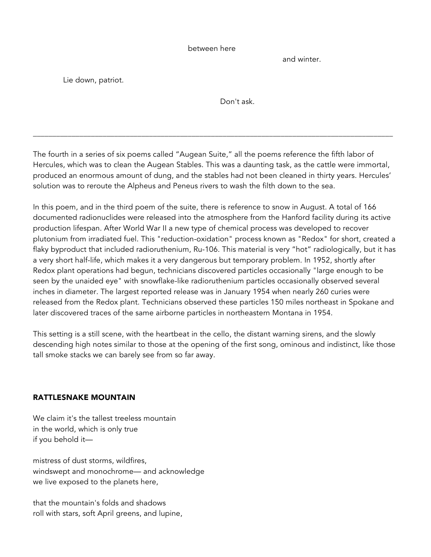#### between here

and winter.

Lie down, patriot.

Don't ask.

The fourth in a series of six poems called "Augean Suite," all the poems reference the fifth labor of Hercules, which was to clean the Augean Stables. This was a daunting task, as the cattle were immortal, produced an enormous amount of dung, and the stables had not been cleaned in thirty years. Hercules' solution was to reroute the Alpheus and Peneus rivers to wash the filth down to the sea.

\_\_\_\_\_\_\_\_\_\_\_\_\_\_\_\_\_\_\_\_\_\_\_\_\_\_\_\_\_\_\_\_\_\_\_\_\_\_\_\_\_\_\_\_\_\_\_\_\_\_\_\_\_\_\_\_\_\_\_\_\_\_\_\_\_\_\_\_\_\_\_\_\_\_\_\_\_\_\_\_\_\_\_\_\_\_\_\_\_\_\_\_\_

In this poem, and in the third poem of the suite, there is reference to snow in August. A total of 166 documented radionuclides were released into the atmosphere from the Hanford facility during its active production lifespan. After World War II a new type of chemical process was developed to recover plutonium from irradiated fuel. This "reduction-oxidation" process known as "Redox" for short, created a flaky byproduct that included radioruthenium, Ru-106. This material is very "hot" radiologically, but it has a very short half-life, which makes it a very dangerous but temporary problem. In 1952, shortly after Redox plant operations had begun, technicians discovered particles occasionally "large enough to be seen by the unaided eye" with snowflake-like radioruthenium particles occasionally observed several inches in diameter. The largest reported release was in January 1954 when nearly 260 curies were released from the Redox plant. Technicians observed these particles 150 miles northeast in Spokane and later discovered traces of the same airborne particles in northeastern Montana in 1954.

This setting is a still scene, with the heartbeat in the cello, the distant warning sirens, and the slowly descending high notes similar to those at the opening of the first song, ominous and indistinct, like those tall smoke stacks we can barely see from so far away.

### RATTLESNAKE MOUNTAIN

We claim it's the tallest treeless mountain in the world, which is only true if you behold it—

mistress of dust storms, wildfires, windswept and monochrome— and acknowledge we live exposed to the planets here,

that the mountain's folds and shadows roll with stars, soft April greens, and lupine,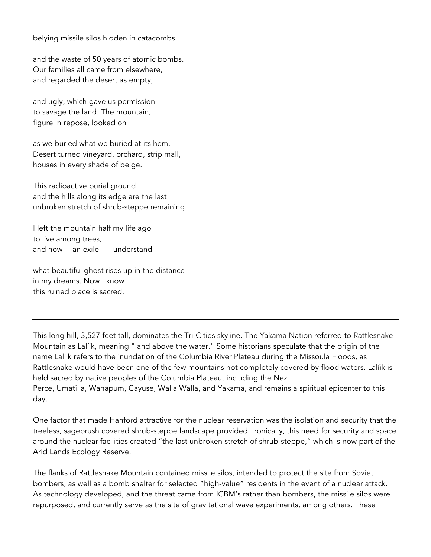belying missile silos hidden in catacombs

and the waste of 50 years of atomic bombs. Our families all came from elsewhere, and regarded the desert as empty,

and ugly, which gave us permission to savage the land. The mountain, figure in repose, looked on

as we buried what we buried at its hem. Desert turned vineyard, orchard, strip mall, houses in every shade of beige.

This radioactive burial ground and the hills along its edge are the last unbroken stretch of shrub-steppe remaining.

I left the mountain half my life ago to live among trees, and now— an exile— I understand

what beautiful ghost rises up in the distance in my dreams. Now I know this ruined place is sacred.

This long hill, 3,527 feet tall, dominates the Tri-Cities skyline. The Yakama Nation referred to Rattlesnake Mountain as Lalíik, meaning "land above the water." Some historians speculate that the origin of the name Lalíik refers to the inundation of the Columbia River Plateau during the Missoula Floods, as Rattlesnake would have been one of the few mountains not completely covered by flood waters. Lalíik is held sacred by native peoples of the Columbia Plateau, including the Nez Perce, Umatilla, Wanapum, Cayuse, Walla Walla, and Yakama, and remains a spiritual epicenter to this day.

One factor that made Hanford attractive for the nuclear reservation was the isolation and security that the treeless, sagebrush covered shrub-steppe landscape provided. Ironically, this need for security and space around the nuclear facilities created "the last unbroken stretch of shrub-steppe," which is now part of the Arid Lands Ecology Reserve.

The flanks of Rattlesnake Mountain contained missile silos, intended to protect the site from Soviet bombers, as well as a bomb shelter for selected "high-value" residents in the event of a nuclear attack. As technology developed, and the threat came from ICBM's rather than bombers, the missile silos were repurposed, and currently serve as the site of gravitational wave experiments, among others. These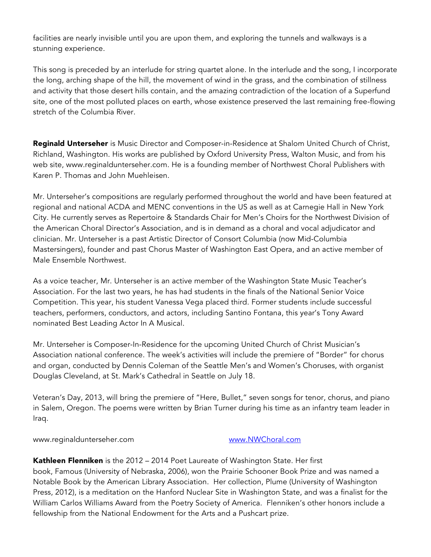facilities are nearly invisible until you are upon them, and exploring the tunnels and walkways is a stunning experience.

This song is preceded by an interlude for string quartet alone. In the interlude and the song, I incorporate the long, arching shape of the hill, the movement of wind in the grass, and the combination of stillness and activity that those desert hills contain, and the amazing contradiction of the location of a Superfund site, one of the most polluted places on earth, whose existence preserved the last remaining free-flowing stretch of the Columbia River.

Reginald Unterseher is Music Director and Composer-in-Residence at Shalom United Church of Christ, Richland, Washington. His works are published by Oxford University Press, Walton Music, and from his web site, www.reginaldunterseher.com. He is a founding member of Northwest Choral Publishers with Karen P. Thomas and John Muehleisen.

Mr. Unterseher's compositions are regularly performed throughout the world and have been featured at regional and national ACDA and MENC conventions in the US as well as at Carnegie Hall in New York City. He currently serves as Repertoire & Standards Chair for Men's Choirs for the Northwest Division of the American Choral Director's Association, and is in demand as a choral and vocal adjudicator and clinician. Mr. Unterseher is a past Artistic Director of Consort Columbia (now Mid-Columbia Mastersingers), founder and past Chorus Master of Washington East Opera, and an active member of Male Ensemble Northwest.

As a voice teacher, Mr. Unterseher is an active member of the Washington State Music Teacher's Association. For the last two years, he has had students in the finals of the National Senior Voice Competition. This year, his student Vanessa Vega placed third. Former students include successful teachers, performers, conductors, and actors, including Santino Fontana, this year's Tony Award nominated Best Leading Actor In A Musical.

Mr. Unterseher is Composer-In-Residence for the upcoming United Church of Christ Musician's Association national conference. The week's activities will include the premiere of "Border" for chorus and organ, conducted by Dennis Coleman of the Seattle Men's and Women's Choruses, with organist Douglas Cleveland, at St. Mark's Cathedral in Seattle on July 18.

Veteran's Day, 2013, will bring the premiere of "Here, Bullet," seven songs for tenor, chorus, and piano in Salem, Oregon. The poems were written by Brian Turner during his time as an infantry team leader in Iraq.

www.reginaldunterseher.com www.NWChoral.com

Kathleen Flenniken is the 2012 - 2014 Poet Laureate of Washington State. Her first book, Famous (University of Nebraska, 2006), won the Prairie Schooner Book Prize and was named a Notable Book by the American Library Association. Her collection, Plume (University of Washington Press, 2012), is a meditation on the Hanford Nuclear Site in Washington State, and was a finalist for the William Carlos Williams Award from the Poetry Society of America. Flenniken's other honors include a fellowship from the National Endowment for the Arts and a Pushcart prize.